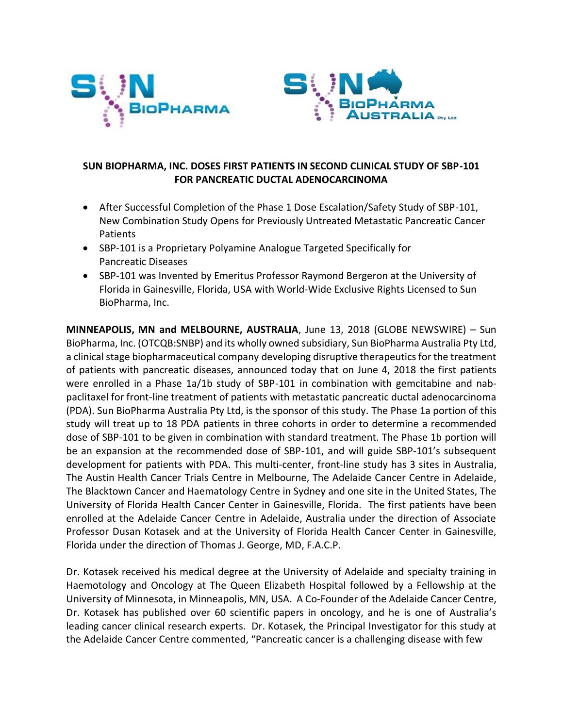



# **SUN BIOPHARMA, INC. DOSES FIRST PATIENTS IN SECOND CLINICAL STUDY OF SBP-101 FOR PANCREATIC DUCTAL ADENOCARCINOMA**

- After Successful Completion of the Phase 1 Dose Escalation/Safety Study of SBP-101, New Combination Study Opens for Previously Untreated Metastatic Pancreatic Cancer Patients
- SBP-101 is a Proprietary Polyamine Analogue Targeted Specifically for Pancreatic Diseases
- SBP-101 was Invented by Emeritus Professor Raymond Bergeron at the University of Florida in Gainesville, Florida, USA with World-Wide Exclusive Rights Licensed to Sun BioPharma, Inc.

**MINNEAPOLIS, MN and MELBOURNE, AUSTRALIA**, June 13, 2018 (GLOBE NEWSWIRE) – Sun BioPharma, Inc. (OTCQB:SNBP) and its wholly owned subsidiary, Sun BioPharma Australia Pty Ltd, a clinical stage biopharmaceutical company developing disruptive therapeutics for the treatment of patients with pancreatic diseases, announced today that on June 4, 2018 the first patients were enrolled in a Phase 1a/1b study of SBP-101 in combination with gemcitabine and nabpaclitaxel for front-line treatment of patients with metastatic pancreatic ductal adenocarcinoma (PDA). Sun BioPharma Australia Pty Ltd, is the sponsor of this study. The Phase 1a portion of this study will treat up to 18 PDA patients in three cohorts in order to determine a recommended dose of SBP-101 to be given in combination with standard treatment. The Phase 1b portion will be an expansion at the recommended dose of SBP-101, and will guide SBP-101's subsequent development for patients with PDA. This multi-center, front-line study has 3 sites in Australia, The Austin Health Cancer Trials Centre in Melbourne, The Adelaide Cancer Centre in Adelaide, The Blacktown Cancer and Haematology Centre in Sydney and one site in the United States, The University of Florida Health Cancer Center in Gainesville, Florida. The first patients have been enrolled at the Adelaide Cancer Centre in Adelaide, Australia under the direction of Associate Professor Dusan Kotasek and at the University of Florida Health Cancer Center in Gainesville, Florida under the direction of Thomas J. George, MD, F.A.C.P.

Dr. Kotasek received his medical degree at the University of Adelaide and specialty training in Haemotology and Oncology at The Queen Elizabeth Hospital followed by a Fellowship at the University of Minnesota, in Minneapolis, MN, USA. A Co-Founder of the Adelaide Cancer Centre, Dr. Kotasek has published over 60 scientific papers in oncology, and he is one of Australia's leading cancer clinical research experts. Dr. Kotasek, the Principal Investigator for this study at the Adelaide Cancer Centre commented, "Pancreatic cancer is a challenging disease with few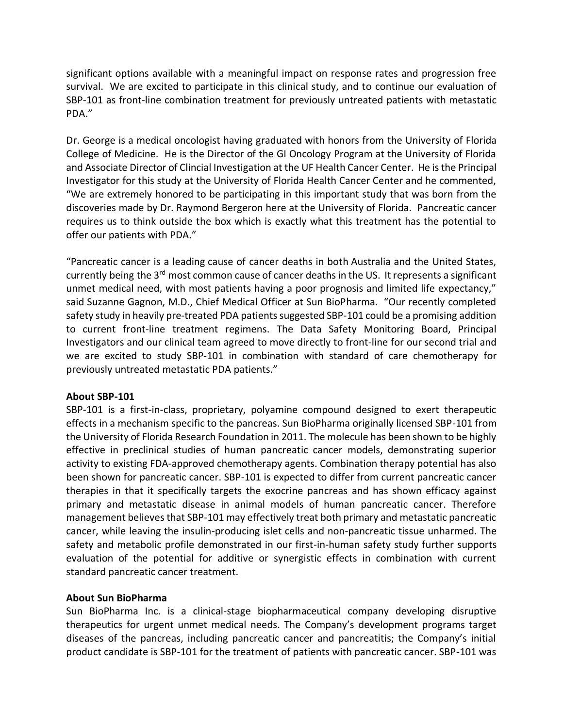significant options available with a meaningful impact on response rates and progression free survival. We are excited to participate in this clinical study, and to continue our evaluation of SBP-101 as front-line combination treatment for previously untreated patients with metastatic PDA."

Dr. George is a medical oncologist having graduated with honors from the University of Florida College of Medicine. He is the Director of the GI Oncology Program at the University of Florida and Associate Director of Clincial Investigation at the UF Health Cancer Center. He is the Principal Investigator for this study at the University of Florida Health Cancer Center and he commented, "We are extremely honored to be participating in this important study that was born from the discoveries made by Dr. Raymond Bergeron here at the University of Florida. Pancreatic cancer requires us to think outside the box which is exactly what this treatment has the potential to offer our patients with PDA."

"Pancreatic cancer is a leading cause of cancer deaths in both Australia and the United States, currently being the 3<sup>rd</sup> most common cause of cancer deaths in the US. It represents a significant unmet medical need, with most patients having a poor prognosis and limited life expectancy," said Suzanne Gagnon, M.D., Chief Medical Officer at Sun BioPharma. "Our recently completed safety study in heavily pre-treated PDA patients suggested SBP-101 could be a promising addition to current front-line treatment regimens. The Data Safety Monitoring Board, Principal Investigators and our clinical team agreed to move directly to front-line for our second trial and we are excited to study SBP-101 in combination with standard of care chemotherapy for previously untreated metastatic PDA patients."

### **About SBP-101**

SBP-101 is a first-in-class, proprietary, polyamine compound designed to exert therapeutic effects in a mechanism specific to the pancreas. Sun BioPharma originally licensed SBP-101 from the University of Florida Research Foundation in 2011. The molecule has been shown to be highly effective in preclinical studies of human pancreatic cancer models, demonstrating superior activity to existing FDA-approved chemotherapy agents. Combination therapy potential has also been shown for pancreatic cancer. SBP-101 is expected to differ from current pancreatic cancer therapies in that it specifically targets the exocrine pancreas and has shown efficacy against primary and metastatic disease in animal models of human pancreatic cancer. Therefore management believes that SBP-101 may effectively treat both primary and metastatic pancreatic cancer, while leaving the insulin-producing islet cells and non-pancreatic tissue unharmed. The safety and metabolic profile demonstrated in our first-in-human safety study further supports evaluation of the potential for additive or synergistic effects in combination with current standard pancreatic cancer treatment.

### **About Sun BioPharma**

Sun BioPharma Inc. is a clinical-stage biopharmaceutical company developing disruptive therapeutics for urgent unmet medical needs. The Company's development programs target diseases of the pancreas, including pancreatic cancer and pancreatitis; the Company's initial product candidate is SBP-101 for the treatment of patients with pancreatic cancer. SBP-101 was